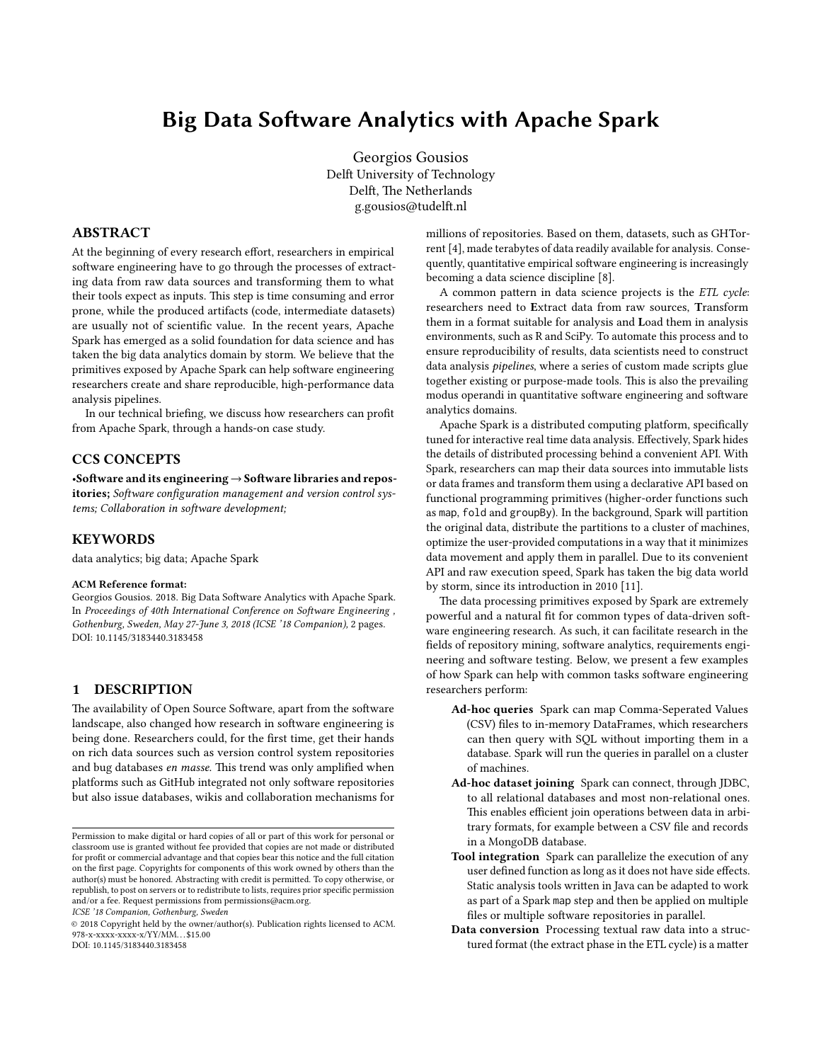# Big Data Software Analytics with Apache Spark

Georgios Gousios Delft University of Technology Delft, The Netherlands g.gousios@tudelft.nl

## ABSTRACT

At the beginning of every research effort, researchers in empirical software engineering have to go through the processes of extracting data from raw data sources and transforming them to what their tools expect as inputs. This step is time consuming and error prone, while the produced artifacts (code, intermediate datasets) are usually not of scientific value. In the recent years, Apache Spark has emerged as a solid foundation for data science and has taken the big data analytics domain by storm. We believe that the primitives exposed by Apache Spark can help software engineering researchers create and share reproducible, high-performance data analysis pipelines.

In our technical briefing, we discuss how researchers can profit from Apache Spark, through a hands-on case study.

## CCS CONCEPTS

•Software and its engineering  $\rightarrow$  Software libraries and repositories; Software configuration management and version control systems; Collaboration in software development;

# **KEYWORDS**

data analytics; big data; Apache Spark

#### ACM Reference format:

Georgios Gousios. 2018. Big Data Software Analytics with Apache Spark. In Proceedings of 40th International Conference on Software Engineering, Gothenburg, Sweden, May 27-June 3, 2018 (ICSE '18 Companion), 2 pages. DOI: 10.1145/3183440.3183458

# 1 DESCRIPTION

The availability of Open Source Software, apart from the software landscape, also changed how research in software engineering is being done. Researchers could, for the first time, get their hands on rich data sources such as version control system repositories and bug databases en masse. This trend was only amplified when platforms such as GitHub integrated not only software repositories but also issue databases, wikis and collaboration mechanisms for

ICSE '18 Companion, Gothenburg, Sweden

© 2018 Copyright held by the owner/author(s). Publication rights licensed to ACM. 978-x-xxxx-xxxx-x/YY/MM. . . \$15.00 DOI: 10.1145/3183440.3183458

millions of repositories. Based on them, datasets, such as GHTorrent [4], made terabytes of data readily available for analysis. Consequently, quantitative empirical software engineering is increasingly becoming a data science discipline [8].

A common pattern in data science projects is the ETL cycle: researchers need to Extract data from raw sources, Transform them in a format suitable for analysis and Load them in analysis environments, such as R and SciPy. To automate this process and to ensure reproducibility of results, data scientists need to construct data analysis *pipelines*, where a series of custom made scripts glue together existing or purpose-made tools. This is also the prevailing modus operandi in quantitative software engineering and software analytics domains.

Apache Spark is a distributed computing platform, specifically tuned for interactive real time data analysis. Effectively, Spark hides the details of distributed processing behind a convenient API. With Spark, researchers can map their data sources into immutable lists or data frames and transform them using a declarative API based on functional programming primitives (higher-order functions such as map, fold and groupBy). In the background, Spark will partition the original data, distribute the partitions to a cluster of machines, optimize the user-provided computations in a way that it minimizes data movement and apply them in parallel. Due to its convenient API and raw execution speed, Spark has taken the big data world by storm, since its introduction in 2010 [11].

The data processing primitives exposed by Spark are extremely powerful and a natural fit for common types of data-driven software engineering research. As such, it can facilitate research in the fields of repository mining, software analytics, requirements engineering and software testing. Below, we present a few examples of how Spark can help with common tasks software engineering researchers perform:

- Ad-hoc queries Spark can map Comma-Seperated Values (CSV) files to in-memory DataFrames, which researchers can then query with SQL without importing them in a database. Spark will run the queries in parallel on a cluster of machines.
- Ad-hoc dataset joining Spark can connect, through JDBC, to all relational databases and most non-relational ones. This enables efficient join operations between data in arbitrary formats, for example between a CSV file and records in a MongoDB database.
- Tool integration Spark can parallelize the execution of any user defined function as long as it does not have side effects. Static analysis tools written in Java can be adapted to work as part of a Spark map step and then be applied on multiple files or multiple software repositories in parallel.
- Data conversion Processing textual raw data into a structured format (the extract phase in the ETL cycle) is a matter

Permission to make digital or hard copies of all or part of this work for personal or classroom use is granted without fee provided that copies are not made or distributed for profit or commercial advantage and that copies bear this notice and the full citation on the first page. Copyrights for components of this work owned by others than the author(s) must be honored. Abstracting with credit is permitted. To copy otherwise, or republish, to post on servers or to redistribute to lists, requires prior specific permission and/or a fee. Request permissions from permissions@acm.org.